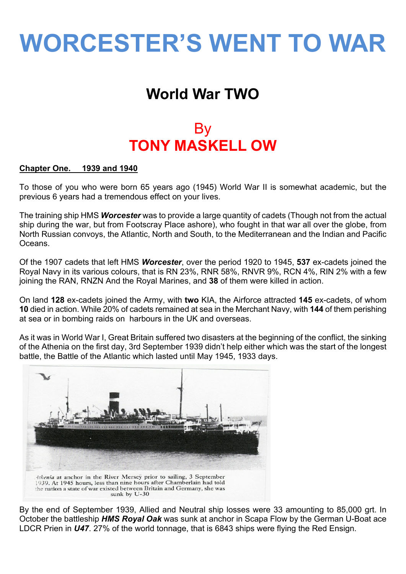# **WORCESTER'S WENT TO WAR**

# **World War TWO**

# By **TONY MASKELL OW**

# **Chapter One. 1939 and 1940**

To those of you who were born 65 years ago (1945) World War II is somewhat academic, but the previous 6 years had a tremendous effect on your lives.

The training ship HMS *Worcester* was to provide a large quantity of cadets (Though not from the actual ship during the war, but from Footscray Place ashore), who fought in that war all over the globe, from North Russian convoys, the Atlantic, North and South, to the Mediterranean and the Indian and Pacific Oceans.

Of the 1907 cadets that left HMS *Worcester*, over the period 1920 to 1945, **537** ex-cadets joined the Royal Navy in its various colours, that is RN 23%, RNR 58%, RNVR 9%, RCN 4%, RIN 2% with a few joining the RAN, RNZN And the Royal Marines, and **38** of them were killed in action.

On land **128** ex-cadets joined the Army, with **two** KIA, the Airforce attracted **145** ex-cadets, of whom **10** died in action. While 20% of cadets remained at sea in the Merchant Navy, with **144** of them perishing at sea or in bombing raids on harbours in the UK and overseas.

As it was in World War I, Great Britain suffered two disasters at the beginning of the conflict, the sinking of the Athenia on the first day, 3rd September 1939 didn't help either which was the start of the longest battle, the Battle of the Atlantic which lasted until May 1945, 1933 days.



By the end of September 1939, Allied and Neutral ship losses were 33 amounting to 85,000 grt. In October the battleship *HMS Royal Oak* was sunk at anchor in Scapa Flow by the German U-Boat ace LDCR Prien in *U47*. 27% of the world tonnage, that is 6843 ships were flying the Red Ensign.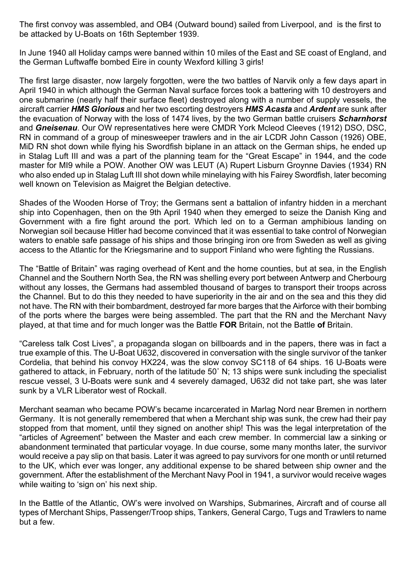The first convoy was assembled, and OB4 (Outward bound) sailed from Liverpool, and is the first to be attacked by U-Boats on 16th September 1939.

In June 1940 all Holiday camps were banned within 10 miles of the East and SE coast of England, and the German Luftwaffe bombed Eire in county Wexford killing 3 girls!

The first large disaster, now largely forgotten, were the two battles of Narvik only a few days apart in April 1940 in which although the German Naval surface forces took a battering with 10 destroyers and one submarine (nearly half their surface fleet) destroyed along with a number of supply vessels, the aircraft carrier *HMS Glorious* and her two escorting destroyers *HMS Acasta* and *Ardent* are sunk after the evacuation of Norway with the loss of 1474 lives, by the two German battle cruisers *Scharnhorst* and *Gneisenau*. Our OW representatives here were CMDR York Mcleod Cleeves (1912) DSO, DSC, RN in command of a group of minesweeper trawlers and in the air LCDR John Casson (1926) OBE, MiD RN shot down while flying his Swordfish biplane in an attack on the German ships, he ended up in Stalag Luft III and was a part of the planning team for the "Great Escape" in 1944, and the code master for MI9 while a POW. Another OW was LEUT (A) Rupert Lisburn Groynne Davies (1934) RN who also ended up in Stalag Luft III shot down while minelaying with his Fairey Swordfish, later becoming well known on Television as Maigret the Belgian detective.

Shades of the Wooden Horse of Troy; the Germans sent a battalion of infantry hidden in a merchant ship into Copenhagen, then on the 9th April 1940 when they emerged to seize the Danish King and Government with a fire fight around the port. Which led on to a German amphibious landing on Norwegian soil because Hitler had become convinced that it was essential to take control of Norwegian waters to enable safe passage of his ships and those bringing iron ore from Sweden as well as giving access to the Atlantic for the Kriegsmarine and to support Finland who were fighting the Russians.

The "Battle of Britain" was raging overhead of Kent and the home counties, but at sea, in the English Channel and the Southern North Sea, the RN was shelling every port between Antwerp and Cherbourg without any losses, the Germans had assembled thousand of barges to transport their troops across the Channel. But to do this they needed to have superiority in the air and on the sea and this they did not have. The RN with their bombardment, destroyed far more barges that the Airforce with their bombing of the ports where the barges were being assembled. The part that the RN and the Merchant Navy played, at that time and for much longer was the Battle **FOR** Britain, not the Battle **of** Britain.

"Careless talk Cost Lives", a propaganda slogan on billboards and in the papers, there was in fact a true example of this. The U-Boat U632, discovered in conversation with the single survivor of the tanker Cordelia, that behind his convoy HX224, was the slow convoy SC118 of 64 ships. 16 U-Boats were gathered to attack, in February, north of the latitude 50˚ N; 13 ships were sunk including the specialist rescue vessel, 3 U-Boats were sunk and 4 severely damaged, U632 did not take part, she was later sunk by a VLR Liberator west of Rockall.

Merchant seaman who became POW's became incarcerated in Marlag Nord near Bremen in northern Germany. It is not generally remembered that when a Merchant ship was sunk, the crew had their pay stopped from that moment, until they signed on another ship! This was the legal interpretation of the "articles of Agreement" between the Master and each crew member. In commercial law a sinking or abandonment terminated that particular voyage. In due course, some many months later, the survivor would receive a pay slip on that basis. Later it was agreed to pay survivors for one month or until returned to the UK, which ever was longer, any additional expense to be shared between ship owner and the government. After the establishment of the Merchant Navy Pool in 1941, a survivor would receive wages while waiting to 'sign on' his next ship.

In the Battle of the Atlantic, OW's were involved on Warships, Submarines, Aircraft and of course all types of Merchant Ships, Passenger/Troop ships, Tankers, General Cargo, Tugs and Trawlers to name but a few.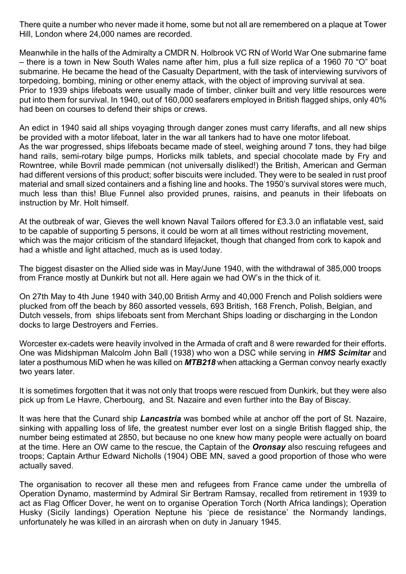There quite a number who never made it home, some but not all are remembered on a plaque at Tower Hill, London where 24,000 names are recorded.

Meanwhile in the halls of the Admiralty a CMDR N. Holbrook VC RN of World War One submarine fame – there is a town in New South Wales name after him, plus a full size replica of a 1960 70 "O" boat submarine. He became the head of the Casualty Department, with the task of interviewing survivors of torpedoing, bombing, mining or other enemy attack, with the object of improving survival at sea. Prior to 1939 ships lifeboats were usually made of timber, clinker built and very little resources were put into them for survival. In 1940, out of 160,000 seafarers employed in British flagged ships, only 40% had been on courses to defend their ships or crews.

An edict in 1940 said all ships voyaging through danger zones must carry liferafts, and all new ships be provided with a motor lifeboat, later in the war all tankers had to have one motor lifeboat. As the war progressed, ships lifeboats became made of steel, weighing around 7 tons, they had bilge hand rails, semi-rotary bilge pumps, Horlicks milk tablets, and special chocolate made by Fry and Rowntree, while Bovril made pemmican (not universally disliked!) the British, American and German had different versions of this product; softer biscuits were included. They were to be sealed in rust proof material and small sized containers and a fishing line and hooks. The 1950's survival stores were much, much less than this! Blue Funnel also provided prunes, raisins, and peanuts in their lifeboats on instruction by Mr. Holt himself.

At the outbreak of war, Gieves the well known Naval Tailors offered for £3.3.0 an inflatable vest, said to be capable of supporting 5 persons, it could be worn at all times without restricting movement, which was the major criticism of the standard lifejacket, though that changed from cork to kapok and had a whistle and light attached, much as is used today.

The biggest disaster on the Allied side was in May/June 1940, with the withdrawal of 385,000 troops from France mostly at Dunkirk but not all. Here again we had OW's in the thick of it.

On 27th May to 4th June 1940 with 340,00 British Army and 40,000 French and Polish soldiers were plucked from off the beach by 860 assorted vessels, 693 British, 168 French, Polish, Belgian, and Dutch vessels, from ships lifeboats sent from Merchant Ships loading or discharging in the London docks to large Destroyers and Ferries.

Worcester ex-cadets were heavily involved in the Armada of craft and 8 were rewarded for their efforts. One was Midshipman Malcolm John Ball (1938) who won a DSC while serving in *HMS Scimitar* and later a posthumous MiD when he was killed on *MTB218* when attacking a German convoy nearly exactly two years later.

It is sometimes forgotten that it was not only that troops were rescued from Dunkirk, but they were also pick up from Le Havre, Cherbourg, and St. Nazaire and even further into the Bay of Biscay.

It was here that the Cunard ship *Lancastria* was bombed while at anchor off the port of St. Nazaire, sinking with appalling loss of life, the greatest number ever lost on a single British flagged ship, the number being estimated at 2850, but because no one knew how many people were actually on board at the time. Here an OW came to the rescue, the Captain of the *Oronsay* also rescuing refugees and troops; Captain Arthur Edward Nicholls (1904) OBE MN, saved a good proportion of those who were actually saved.

The organisation to recover all these men and refugees from France came under the umbrella of Operation Dynamo, mastermind by Admiral Sir Bertram Ramsay, recalled from retirement in 1939 to act as Flag Officer Dover, he went on to organise Operation Torch (North Africa landings); Operation Husky (Sicily landings) Operation Neptune his 'piece de resistance' the Normandy landings, unfortunately he was killed in an aircrash when on duty in January 1945.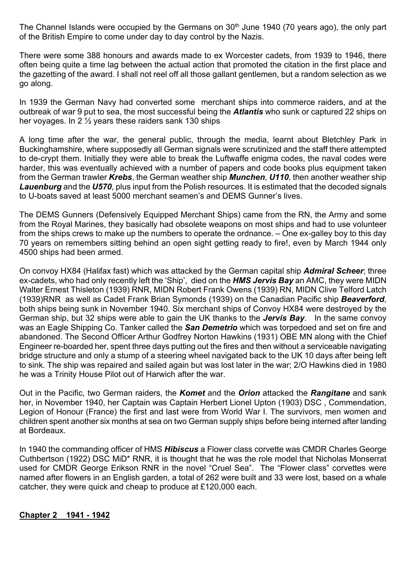The Channel Islands were occupied by the Germans on 30<sup>th</sup> June 1940 (70 years ago), the only part of the British Empire to come under day to day control by the Nazis.

There were some 388 honours and awards made to ex Worcester cadets, from 1939 to 1946, there often being quite a time lag between the actual action that promoted the citation in the first place and the gazetting of the award. I shall not reel off all those gallant gentlemen, but a random selection as we go along.

In 1939 the German Navy had converted some merchant ships into commerce raiders, and at the outbreak of war 9 put to sea, the most successful being the *Atlantis* who sunk or captured 22 ships on her voyages. In 2 ½ years these raiders sank 130 ships

A long time after the war, the general public, through the media, learnt about Bletchley Park in Buckinghamshire, where supposedly all German signals were scrutinized and the staff there attempted to de-crypt them. Initially they were able to break the Luftwaffe enigma codes, the naval codes were harder, this was eventually achieved with a number of papers and code books plus equipment taken from the German trawler *Krebs*, the German weather ship *Munchen*, *U110*, then another weather ship *Lauenburg* and the *U570*, plus input from the Polish resources. It is estimated that the decoded signals to U-boats saved at least 5000 merchant seamen's and DEMS Gunner's lives.

The DEMS Gunners (Defensively Equipped Merchant Ships) came from the RN, the Army and some from the Royal Marines, they basically had obsolete weapons on most ships and had to use volunteer from the ships crews to make up the numbers to operate the ordnance. – One ex-galley boy to this day 70 years on remembers sitting behind an open sight getting ready to fire!, even by March 1944 only 4500 ships had been armed.

On convoy HX84 (Halifax fast) which was attacked by the German capital ship *Admiral Scheer*; three ex-cadets, who had only recently left the 'Ship', died on the *HMS Jervis Bay* an AMC, they were MIDN Walter Ernest Thisleton (1939) RNR, MIDN Robert Frank Owens (1939) RN, MIDN Clive Telford Latch (1939)RNR as well as Cadet Frank Brian Symonds (1939) on the Canadian Pacific ship *Beaverford*, both ships being sunk in November 1940. Six merchant ships of Convoy HX84 were destroyed by the German ship, but 32 ships were able to gain the UK thanks to the *Jervis Bay*. In the same convoy was an Eagle Shipping Co. Tanker called the *San Demetrio* which was torpedoed and set on fire and abandoned. The Second Officer Arthur Godfrey Norton Hawkins (1931) OBE MN along with the Chief Engineer re-boarded her, spent three days putting out the fires and then without a serviceable navigating bridge structure and only a stump of a steering wheel navigated back to the UK 10 days after being left to sink. The ship was repaired and sailed again but was lost later in the war; 2/O Hawkins died in 1980 he was a Trinity House Pilot out of Harwich after the war.

Out in the Pacific, two German raiders, the *Komet* and the *Orion* attacked the *Rangitane* and sank her, in November 1940, her Captain was Captain Herbert Lionel Upton (1903) DSC , Commendation, Legion of Honour (France) the first and last were from World War I. The survivors, men women and children spent another six months at sea on two German supply ships before being interned after landing at Bordeaux.

In 1940 the commanding officer of HMS *Hibiscus* a Flower class corvette was CMDR Charles George Cuthbertson (1922) DSC MiD\* RNR, it is thought that he was the role model that Nicholas Monserrat used for CMDR George Erikson RNR in the novel "Cruel Sea". The "Flower class" corvettes were named after flowers in an English garden, a total of 262 were built and 33 were lost, based on a whale catcher, they were quick and cheap to produce at £120,000 each.

#### **Chapter 2 1941 - 1942**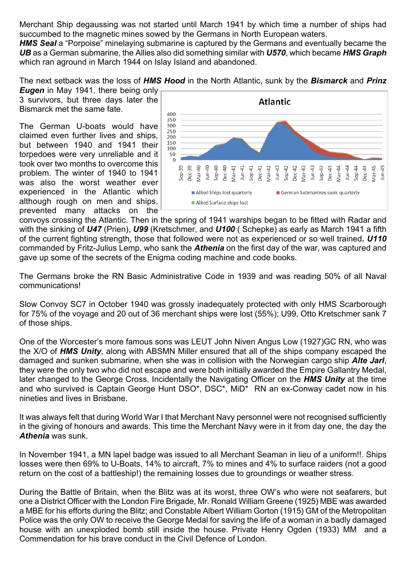Merchant Ship degaussing was not started until March 1941 by which time a number of ships had succumbed to the magnetic mines sowed by the Germans in North European waters.

*HMS Seal* a "Porpoise" minelaying submarine is captured by the Germans and eventually became the *UB* as a German submarine, the Allies also did something similar with *U570*, which became *HMS Graph* which ran aground in March 1944 on Islay Island and abandoned.

The next setback was the loss of *HMS Hood* in the North Atlantic, sunk by the *Bismarck* and *Prinz*

*Eugen* in May 1941, there being only 3 survivors, but three days later the Bismarck met the same fate.

The German U-boats would have claimed even further lives and ships, but between 1940 and 1941 their torpedoes were very unreliable and it took over two months to overcome this problem. The winter of 1940 to 1941 was also the worst weather ever experienced in the Atlantic which although rough on men and ships, prevented many attacks on the



convoys crossing the Atlantic. Then in the spring of 1941 warships began to be fitted with Radar and with the sinking of *U47* (Prien), *U99* (Kretschmer, and *U100* ( Schepke) as early as March 1941 a fifth of the current fighting strength, those that followed were not as experienced or so well trained*. U110* commanded by Fritz-Julius Lemp, who sank the *Athenia* on the first day of the war, was captured and gave up some of the secrets of the Enigma coding machine and code books.

The Germans broke the RN Basic Administrative Code in 1939 and was reading 50% of all Naval communications!

Slow Convoy SC7 in October 1940 was grossly inadequately protected with only HMS Scarborough for 75% of the voyage and 20 out of 36 merchant ships were lost (55%); U99, Otto Kretschmer sank 7 of those ships.

One of the Worcester's more famous sons was LEUT John Niven Angus Low (1927)GC RN, who was the X/O of *HMS Unity*, along with ABSMN Miller ensured that all of the ships company escaped the damaged and sunken submarine, when she was in collision with the Norwegian cargo ship *Alte Jarl*, they were the only two who did not escape and were both initially awarded the Empire Gallantry Medal, later changed to the George Cross. Incidentally the Navigating Officer on the *HMS Unity* at the time and who survived is Captain George Hunt DSO\*, DSC\*, MiD\* RN an ex-Conway cadet now in his nineties and lives in Brisbane.

It was always felt that during World War I that Merchant Navy personnel were not recognised sufficiently in the giving of honours and awards. This time the Merchant Navy were in it from day one, the day the *Athenia* was sunk.

In November 1941, a MN lapel badge was issued to all Merchant Seaman in lieu of a uniform!!. Ships losses were then 69% to U-Boats, 14% to aircraft, 7% to mines and 4% to surface raiders (not a good return on the cost of a battleship!) the remaining losses due to groundings or weather stress.

During the Battle of Britain, when the Blitz was at its worst, three OW's who were not seafarers, but one a District Officer with the London Fire Brigade, Mr. Ronald William Greene (1925) MBE was awarded a MBE for his efforts during the Blitz; and Constable Albert William Gorton (1915) GM of the Metropolitan Police was the only OW to receive the George Medal for saving the life of a woman in a badly damaged house with an unexploded bomb still inside the house. Private Henry Ogden (1933) MM and a Commendation for his brave conduct in the Civil Defence of London.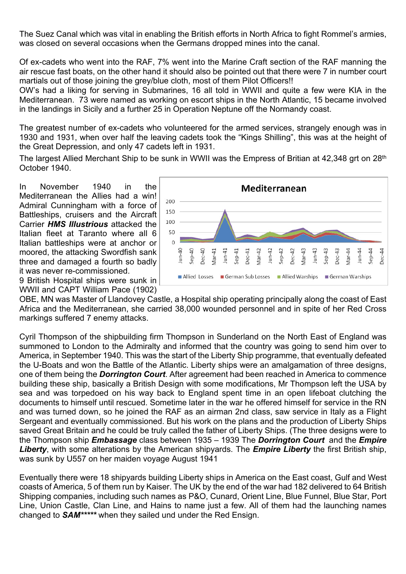The Suez Canal which was vital in enabling the British efforts in North Africa to fight Rommel's armies, was closed on several occasions when the Germans dropped mines into the canal.

Of ex-cadets who went into the RAF, 7% went into the Marine Craft section of the RAF manning the air rescue fast boats, on the other hand it should also be pointed out that there were 7 in number court martials out of those joining the grey/blue cloth, most of them Pilot Officers!!

OW's had a liking for serving in Submarines, 16 all told in WWII and quite a few were KIA in the Mediterranean. 73 were named as working on escort ships in the North Atlantic, 15 became involved in the landings in Sicily and a further 25 in Operation Neptune off the Normandy coast.

The greatest number of ex-cadets who volunteered for the armed services, strangely enough was in 1930 and 1931, when over half the leaving cadets took the "Kings Shilling", this was at the height of the Great Depression, and only 47 cadets left in 1931.

The largest Allied Merchant Ship to be sunk in WWII was the Empress of Britian at 42,348 grt on 28<sup>th</sup> October 1940.

In November 1940 in the Mediterranean the Allies had a win! Admiral Cunningham with a force of Battleships, cruisers and the Aircraft Carrier *HMS Illustrious* attacked the Italian fleet at Taranto where all 6 Italian battleships were at anchor or moored, the attacking Swordfish sank three and damaged a fourth so badly it was never re-commissioned.



9 British Hospital ships were sunk in WWII and CAPT William Pace (1902)

OBE, MN was Master of Llandovey Castle, a Hospital ship operating principally along the coast of East Africa and the Mediterranean, she carried 38,000 wounded personnel and in spite of her Red Cross markings suffered 7 enemy attacks.

Cyril Thompson of the shipbuilding firm Thompson in Sunderland on the North East of England was summoned to London to the Admiralty and informed that the country was going to send him over to America, in September 1940. This was the start of the Liberty Ship programme, that eventually defeated the U-Boats and won the Battle of the Atlantic. Liberty ships were an amalgamation of three designs, one of them being the *Dorrington Court*. After agreement had been reached in America to commence building these ship, basically a British Design with some modifications, Mr Thompson left the USA by sea and was torpedoed on his way back to England spent time in an open lifeboat clutching the documents to himself until rescued. Sometime later in the war he offered himself for service in the RN and was turned down, so he joined the RAF as an airman 2nd class, saw service in Italy as a Flight Sergeant and eventually commissioned. But his work on the plans and the production of Liberty Ships saved Great Britain and he could be truly called the father of Liberty Ships. (The three designs were to the Thompson ship *Embassage* class between 1935 – 1939 The *Dorrington Court* and the *Empire Liberty*, with some alterations by the American shipyards. The *Empire Liberty* the first British ship, was sunk by U557 on her maiden voyage August 1941

Eventually there were 18 shipyards building Liberty ships in America on the East coast, Gulf and West coasts of America, 5 of them run by Kaiser. The UK by the end of the war had 182 delivered to 64 British Shipping companies, including such names as P&O, Cunard, Orient Line, Blue Funnel, Blue Star, Port Line, Union Castle, Clan Line, and Hains to name just a few. All of them had the launching names changed to *SAM\*\*\*\*\** when they sailed und under the Red Ensign.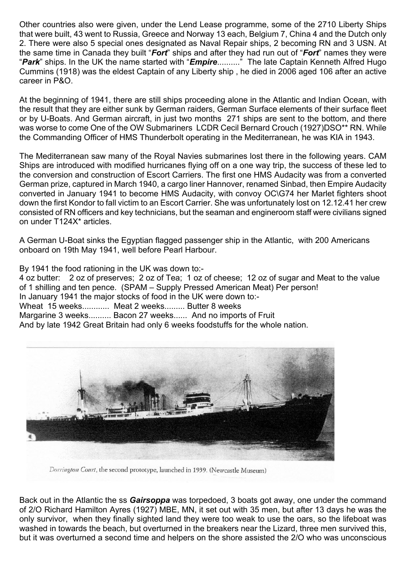Other countries also were given, under the Lend Lease programme, some of the 2710 Liberty Ships that were built, 43 went to Russia, Greece and Norway 13 each, Belgium 7, China 4 and the Dutch only 2. There were also 5 special ones designated as Naval Repair ships, 2 becoming RN and 3 USN. At the same time in Canada they built "*Fort*" ships and after they had run out of "*Fort*" names they were "*Park*" ships. In the UK the name started with "*Empire*.........." The late Captain Kenneth Alfred Hugo Cummins (1918) was the eldest Captain of any Liberty ship , he died in 2006 aged 106 after an active career in P&O.

At the beginning of 1941, there are still ships proceeding alone in the Atlantic and Indian Ocean, with the result that they are either sunk by German raiders, German Surface elements of their surface fleet or by U-Boats. And German aircraft, in just two months 271 ships are sent to the bottom, and there was worse to come One of the OW Submariners LCDR Cecil Bernard Crouch (1927)DSO\*\* RN. While the Commanding Officer of HMS Thunderbolt operating in the Mediterranean, he was KIA in 1943.

The Mediterranean saw many of the Royal Navies submarines lost there in the following years. CAM Ships are introduced with modified hurricanes flying off on a one way trip, the success of these led to the conversion and construction of Escort Carriers. The first one HMS Audacity was from a converted German prize, captured in March 1940, a cargo liner Hannover, renamed Sinbad, then Empire Audacity converted in January 1941 to become HMS Audacity, with convoy OC\G74 her Marlet fighters shoot down the first Kondor to fall victim to an Escort Carrier. She was unfortunately lost on 12.12.41 her crew consisted of RN officers and key technicians, but the seaman and engineroom staff were civilians signed on under T124X\* articles.

A German U-Boat sinks the Egyptian flagged passenger ship in the Atlantic, with 200 Americans onboard on 19th May 1941, well before Pearl Harbour.

By 1941 the food rationing in the UK was down to:-

4 oz butter: 2 oz of preserves; 2 oz of Tea; 1 oz of cheese; 12 oz of sugar and Meat to the value of 1 shilling and ten pence. (SPAM – Supply Pressed American Meat) Per person! In January 1941 the major stocks of food in the UK were down to:- Wheat 15 weeks............ Meat 2 weeks......... Butter 8 weeks Margarine 3 weeks.......... Bacon 27 weeks...... And no imports of Fruit And by late 1942 Great Britain had only 6 weeks foodstuffs for the whole nation.



Dorrington Court, the second prototype, launched in 1939. (Newcastle Museum)

Back out in the Atlantic the ss *Gairsoppa* was torpedoed, 3 boats got away, one under the command of 2/O Richard Hamilton Ayres (1927) MBE, MN, it set out with 35 men, but after 13 days he was the only survivor, when they finally sighted land they were too weak to use the oars, so the lifeboat was washed in towards the beach, but overturned in the breakers near the Lizard, three men survived this, but it was overturned a second time and helpers on the shore assisted the 2/O who was unconscious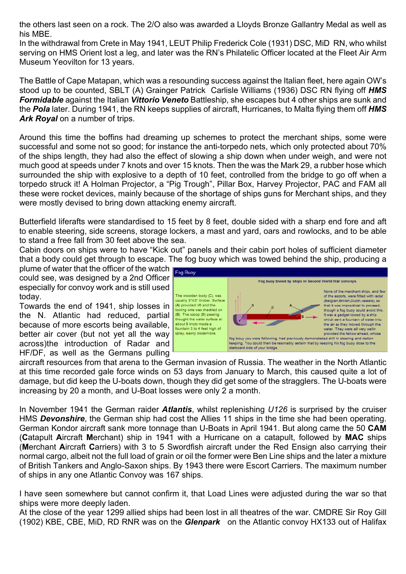the others last seen on a rock. The 2/O also was awarded a Lloyds Bronze Gallantry Medal as well as his MBE.

In the withdrawal from Crete in May 1941, LEUT Philip Frederick Cole (1931) DSC, MiD RN, who whilst serving on HMS Orient lost a leg, and later was the RN's Philatelic Officer located at the Fleet Air Arm Museum Yeovilton for 13 years.

The Battle of Cape Matapan, which was a resounding success against the Italian fleet, here again OW's stood up to be counted, SBLT (A) Grainger Patrick Carlisle Williams (1936) DSC RN flying off *HMS Formidable* against the Italian *Vittorio Veneto* Battleship, she escapes but 4 other ships are sunk and the *Pola* later. During 1941, the RN keeps supplies of aircraft, Hurricanes, to Malta flying them off *HMS Ark Royal* on a number of trips.

Around this time the boffins had dreaming up schemes to protect the merchant ships, some were successful and some not so good; for instance the anti-torpedo nets, which only protected about 70% of the ships length, they had also the effect of slowing a ship down when under weigh, and were not much good at speeds under 7 knots and over 15 knots. Then the was the Mark 29, a rubber hose which surrounded the ship with explosive to a depth of 10 feet, controlled from the bridge to go off when a torpedo struck it! A Holman Projector, a "Pig Trough", Pillar Box, Harvey Projector, PAC and FAM all these were rocket devices, mainly because of the shortage of ships guns for Merchant ships, and they were mostly devised to bring down attacking enemy aircraft.

Butterfield liferafts were standardised to 15 feet by 8 feet, double sided with a sharp end fore and aft to enable steering, side screens, storage lockers, a mast and yard, oars and rowlocks, and to be able to stand a free fall from 30 feet above the sea.

Cabin doors on ships were to have "Kick out" panels and their cabin port holes of sufficient diameter that a body could get through to escape. The fog buoy which was towed behind the ship, producing a

plume of water that the officer of the watch  $\frac{1}{\log \frac{B_{\text{Uoy}}}{\log B_{\text{Uoy}}}}$ could see, was designed by a 2nd Officer especially for convoy work and is still used today.

Towards the end of 1941, ship losses in the N. Atlantic had reduced, partial because of more escorts being available, better air cover (but not yet all the way across)the introduction of Radar and HF/DF, as well as the Germans pulling



aircraft resources from that arena to the German invasion of Russia. The weather in the North Atlantic at this time recorded gale force winds on 53 days from January to March, this caused quite a lot of damage, but did keep the U-boats down, though they did get some of the stragglers. The U-boats were increasing by 20 a month, and U-Boat losses were only 2 a month.

In November 1941 the German raider *Atlantis*, whilst replenishing *U126* is surprised by the cruiser HMS *Devonshire*, the German ship had cost the Allies 11 ships in the time she had been operating. German Kondor aircraft sank more tonnage than U-Boats in April 1941. But along came the 50 **CAM** (**C**atapult **A**ircraft **M**erchant) ship in 1941 with a Hurricane on a catapult, followed by **MAC** ships (**M**erchant **A**ircraft **C**arriers) with 3 to 5 Swordfish aircraft under the Red Ensign also carrying their normal cargo, albeit not the full load of grain or oil the former were Ben Line ships and the later a mixture of British Tankers and Anglo-Saxon ships. By 1943 there were Escort Carriers. The maximum number of ships in any one Atlantic Convoy was 167 ships.

I have seen somewhere but cannot confirm it, that Load Lines were adjusted during the war so that ships were more deeply laden.

At the close of the year 1299 allied ships had been lost in all theatres of the war. CMDRE Sir Roy Gill (1902) KBE, CBE, MiD, RD RNR was on the *Glenpark* on the Atlantic convoy HX133 out of Halifax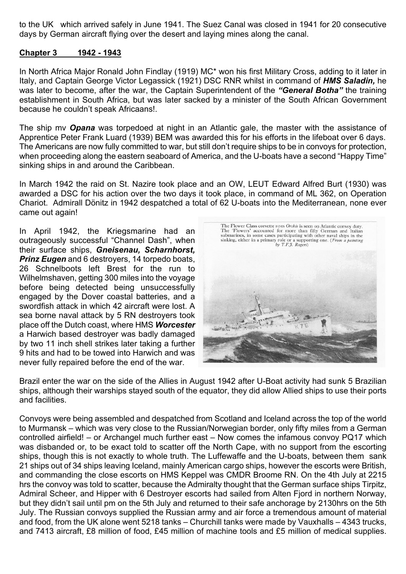to the UK which arrived safely in June 1941. The Suez Canal was closed in 1941 for 20 consecutive days by German aircraft flying over the desert and laying mines along the canal.

#### **Chapter 3 1942 - 1943**

In North Africa Major Ronald John Findlay (1919) MC\* won his first Military Cross, adding to it later in Italy, and Captain George Victor Legassick (1921) DSC RNR whilst in command of *HMS Saladin,* he was later to become, after the war, the Captain Superintendent of the *"General Botha"* the training establishment in South Africa, but was later sacked by a minister of the South African Government because he couldn't speak Africaans!.

The ship mv *Opana* was torpedoed at night in an Atlantic gale, the master with the assistance of Apprentice Peter Frank Luard (1939) BEM was awarded this for his efforts in the lifeboat over 6 days. The Americans are now fully committed to war, but still don't require ships to be in convoys for protection, when proceeding along the eastern seaboard of America, and the U-boats have a second "Happy Time" sinking ships in and around the Caribbean.

In March 1942 the raid on St. Nazire took place and an OW, LEUT Edward Alfred Burt (1930) was awarded a DSC for his action over the two days it took place, in command of ML 362, on Operation Chariot. Admirall Dönitz in 1942 despatched a total of 62 U-boats into the Mediterranean, none ever came out again!

In April 1942, the Kriegsmarine had an outrageously successful "Channel Dash", when their surface ships, *Gneisenau, Scharnhorst, Prinz Eugen* and 6 destroyers, 14 torpedo boats, 26 Schnelboots left Brest for the run to Wilhelmshaven, getting 300 miles into the voyage before being detected being unsuccessfully engaged by the Dover coastal batteries, and a swordfish attack in which 42 aircraft were lost. A sea borne naval attack by 5 RN destroyers took place off the Dutch coast, where HMS *Worcester* a Harwich based destroyer was badly damaged by two 11 inch shell strikes later taking a further 9 hits and had to be towed into Harwich and was never fully repaired before the end of the war.



Brazil enter the war on the side of the Allies in August 1942 after U-Boat activity had sunk 5 Brazilian ships, although their warships stayed south of the equator, they did allow Allied ships to use their ports and facilities.

Convoys were being assembled and despatched from Scotland and Iceland across the top of the world to Murmansk – which was very close to the Russian/Norwegian border, only fifty miles from a German controlled airfield! – or Archangel much further east – Now comes the infamous convoy PQ17 which was disbanded or, to be exact told to scatter off the North Cape, with no support from the escorting ships, though this is not exactly to whole truth. The Luffewaffe and the U-boats, between them sank 21 ships out of 34 ships leaving Iceland, mainly American cargo ships, however the escorts were British, and commanding the close escorts on HMS Keppel was CMDR Broome RN. On the 4th July at 2215 hrs the convoy was told to scatter, because the Admiralty thought that the German surface ships Tirpitz, Admiral Scheer, and Hipper with 6 Destroyer escorts had sailed from Alten Fjord in northern Norway, but they didn't sail until pm on the 5th July and returned to their safe anchorage by 2130hrs on the 5th July. The Russian convoys supplied the Russian army and air force a tremendous amount of material and food, from the UK alone went 5218 tanks – Churchill tanks were made by Vauxhalls – 4343 trucks, and 7413 aircraft, £8 million of food, £45 million of machine tools and £5 million of medical supplies.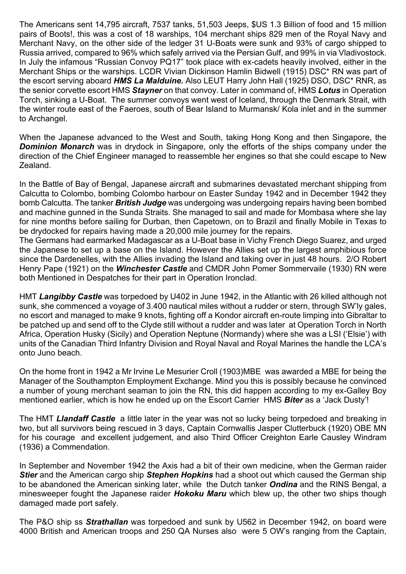The Americans sent 14,795 aircraft, 7537 tanks, 51,503 Jeeps, \$US 1.3 Billion of food and 15 million pairs of Boots!, this was a cost of 18 warships, 104 merchant ships 829 men of the Royal Navy and Merchant Navy, on the other side of the ledger 31 U-Boats were sunk and 93% of cargo shipped to Russia arrived, compared to 96% which safely arrived via the Persian Gulf, and 99% in via Vladivostock. In July the infamous "Russian Convoy PQ17" took place with ex-cadets heavily involved, either in the Merchant Ships or the warships. LCDR Vivian Dickinson Hamlin Bidwell (1915) DSC\* RN was part of the escort serving aboard *HMS La Malduine.* Also LEUT Harry John Hall (1925) DSO, DSC\* RNR, as the senior corvette escort HMS *Stayner* on that convoy. Later in command of, HMS *Lotus* in Operation Torch, sinking a U-Boat. The summer convoys went west of Iceland, through the Denmark Strait, with the winter route east of the Faeroes, south of Bear Island to Murmansk/ Kola inlet and in the summer to Archangel.

When the Japanese advanced to the West and South, taking Hong Kong and then Singapore, the **Dominion Monarch** was in drydock in Singapore, only the efforts of the ships company under the direction of the Chief Engineer managed to reassemble her engines so that she could escape to New Zealand.

In the Battle of Bay of Bengal, Japanese aircraft and submarines devastated merchant shipping from Calcutta to Colombo, bombing Colombo harbour on Easter Sunday 1942 and in December 1942 they bomb Calcutta. The tanker *British Judge* was undergoing was undergoing repairs having been bombed and machine gunned in the Sunda Straits. She managed to sail and made for Mombasa where she lay for nine months before sailing for Durban, then Capetown, on to Brazil and finally Mobile in Texas to be drydocked for repairs having made a 20,000 mile journey for the repairs.

The Germans had earmarked Madagascar as a U-Boat base in Vichy French Diego Suarez, and urged the Japanese to set up a base on the Island. However the Allies set up the largest amphibious force since the Dardenelles, with the Allies invading the Island and taking over in just 48 hours. 2/O Robert Henry Pape (1921) on the *Winchester Castle* and CMDR John Pomer Sommervaile (1930) RN were both Mentioned in Despatches for their part in Operation Ironclad.

HMT *Langibby Castle* was torpedoed by U402 in June 1942, in the Atlantic with 26 killed although not sunk, she commenced a voyage of 3.400 nautical miles without a rudder or stern, through SW'ly gales, no escort and managed to make 9 knots, fighting off a Kondor aircraft en-route limping into Gibraltar to be patched up and send off to the Clyde still without a rudder and was later at Operation Torch in North Africa, Operation Husky (Sicily) and Operation Neptune (Normandy) where she was a LSI ('Elsie') with units of the Canadian Third Infantry Division and Royal Naval and Royal Marines the handle the LCA's onto Juno beach.

On the home front in 1942 a Mr Irvine Le Mesurier Croll (1903)MBE was awarded a MBE for being the Manager of the Southampton Employment Exchange. Mind you this is possibly because he convinced a number of young merchant seaman to join the RN, this did happen according to my ex-Galley Boy mentioned earlier, which is how he ended up on the Escort Carrier HMS *Biter* as a 'Jack Dusty'!

The HMT *Llandaff Castle* a little later in the year was not so lucky being torpedoed and breaking in two, but all survivors being rescued in 3 days, Captain Cornwallis Jasper Clutterbuck (1920) OBE MN for his courage and excellent judgement, and also Third Officer Creighton Earle Causley Windram (1936) a Commendation.

In September and November 1942 the Axis had a bit of their own medicine, when the German raider *Stier* and the American cargo ship *Stephen Hopkins* had a shoot out which caused the German ship to be abandoned the American sinking later, while the Dutch tanker *Ondina* and the RINS Bengal, a minesweeper fought the Japanese raider *Hokoku Maru* which blew up, the other two ships though damaged made port safely.

The P&O ship ss *Strathallan* was torpedoed and sunk by U562 in December 1942, on board were 4000 British and American troops and 250 QA Nurses also were 5 OW's ranging from the Captain,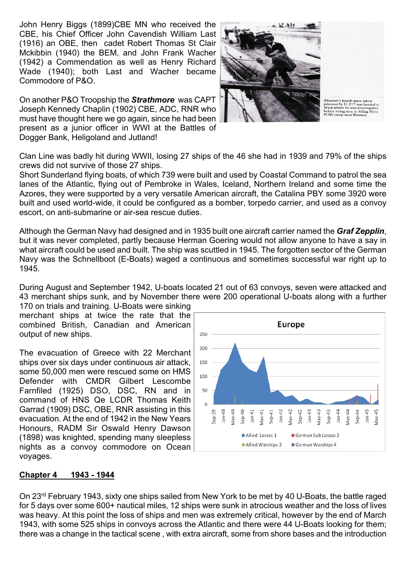John Henry Biggs (1899)CBE MN who received the CBE, his Chief Officer John Cavendish William Last (1916) an OBE, then cadet Robert Thomas St Clair Mckibbin (1940) the BEM, and John Frank Wacher (1942) a Commendation as well as Henry Richard Wade (1940); both Last and Wacher became Commodore of P&O.

On another P&O Troopship the *Strathmore* was CAPT Joseph Kennedy Chaplin (1902) CBE, ADC, RNR who must have thought here we go again, since he had been present as a junior officer in WWI at the Battles of Dogger Bank, Heligoland and Jutland!



*Rhexenor's* fourth mate taken<br>prisoner by U-217 was landed at<br>Brest where he was interrogated<br>before being sent to Milag Nord<br>POW camp near Bremen

Clan Line was badly hit during WWII, losing 27 ships of the 46 she had in 1939 and 79% of the ships crews did not survive of those 27 ships.

Short Sunderland flying boats, of which 739 were built and used by Coastal Command to patrol the sea lanes of the Atlantic, flying out of Pembroke in Wales, Iceland, Northern Ireland and some time the Azores, they were supported by a very versatile American aircraft, the Catalina PBY some 3920 were built and used world-wide, it could be configured as a bomber, torpedo carrier, and used as a convoy escort, on anti-submarine or air-sea rescue duties.

Although the German Navy had designed and in 1935 built one aircraft carrier named the *Graf Zepplin*, but it was never completed, partly because Herman Goering would not allow anyone to have a say in what aircraft could be used and built. The ship was scuttled in 1945. The forgotten sector of the German Navy was the Schnellboot (E-Boats) waged a continuous and sometimes successful war right up to 1945.

During August and September 1942, U-boats located 21 out of 63 convoys, seven were attacked and 43 merchant ships sunk, and by November there were 200 operational U-boats along with a further

170 on trials and training. U-Boats were sinking merchant ships at twice the rate that the combined British, Canadian and American output of new ships.

The evacuation of Greece with 22 Merchant ships over six days under continuous air attack, some 50,000 men were rescued some on HMS Defender with CMDR Gilbert Lescombe Farnfiled (1925) DSO, DSC, RN and in command of HNS Qe LCDR Thomas Keith Garrad (1909) DSC, OBE, RNR assisting in this evacuation. At the end of 1942 in the New Years Honours, RADM Sir Oswald Henry Dawson (1898) was knighted, spending many sleepless nights as a convoy commodore on Ocean voyages.



#### **Chapter 4 1943 - 1944**

On 23rd February 1943, sixty one ships sailed from New York to be met by 40 U-Boats, the battle raged for 5 days over some 600+ nautical miles, 12 ships were sunk in atrocious weather and the loss of lives was heavy. At this point the loss of ships and men was extremely critical, however by the end of March 1943, with some 525 ships in convoys across the Atlantic and there were 44 U-Boats looking for them; there was a change in the tactical scene , with extra aircraft, some from shore bases and the introduction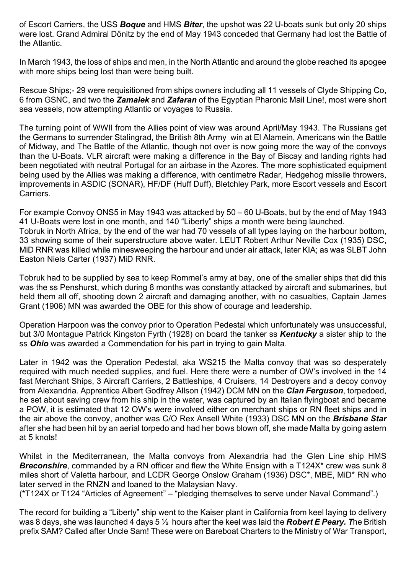of Escort Carriers, the USS *Boque* and HMS *Biter*, the upshot was 22 U-boats sunk but only 20 ships were lost. Grand Admiral Dönitz by the end of May 1943 conceded that Germany had lost the Battle of the Atlantic.

In March 1943, the loss of ships and men, in the North Atlantic and around the globe reached its apogee with more ships being lost than were being built.

Rescue Ships;- 29 were requisitioned from ships owners including all 11 vessels of Clyde Shipping Co, 6 from GSNC, and two the *Zamalek* and *Zafaran* of the Egyptian Pharonic Mail Line!, most were short sea vessels, now attempting Atlantic or voyages to Russia.

The turning point of WWII from the Allies point of view was around April/May 1943. The Russians get the Germans to surrender Stalingrad, the British 8th Army win at El Alamein, Americans win the Battle of Midway, and The Battle of the Atlantic, though not over is now going more the way of the convoys than the U-Boats. VLR aircraft were making a difference in the Bay of Biscay and landing rights had been negotiated with neutral Portugal for an airbase in the Azores. The more sophisticated equipment being used by the Allies was making a difference, with centimetre Radar, Hedgehog missile throwers, improvements in ASDIC (SONAR), HF/DF (Huff Duff), Bletchley Park, more Escort vessels and Escort Carriers.

For example Convoy ONS5 in May 1943 was attacked by 50 – 60 U-Boats, but by the end of May 1943 41 U-Boats were lost in one month, and 140 "Liberty" ships a month were being launched. Tobruk in North Africa, by the end of the war had 70 vessels of all types laying on the harbour bottom, 33 showing some of their superstructure above water. LEUT Robert Arthur Neville Cox (1935) DSC, MiD RNR was killed while minesweeping the harbour and under air attack, later KIA; as was SLBT John Easton Niels Carter (1937) MiD RNR.

Tobruk had to be supplied by sea to keep Rommel's army at bay, one of the smaller ships that did this was the ss Penshurst, which during 8 months was constantly attacked by aircraft and submarines, but held them all off, shooting down 2 aircraft and damaging another, with no casualties, Captain James Grant (1906) MN was awarded the OBE for this show of courage and leadership.

Operation Harpoon was the convoy prior to Operation Pedestal which unfortunately was unsuccessful, but 3/0 Montague Patrick Kingston Fyrth (1928) on board the tanker ss *Kentucky* a sister ship to the ss *Ohio* was awarded a Commendation for his part in trying to gain Malta.

Later in 1942 was the Operation Pedestal, aka WS215 the Malta convoy that was so desperately required with much needed supplies, and fuel. Here there were a number of OW's involved in the 14 fast Merchant Ships, 3 Aircraft Carriers, 2 Battleships, 4 Cruisers, 14 Destroyers and a decoy convoy from Alexandria. Apprentice Albert Godfrey Allson (1942) DCM MN on the *Clan Ferguson*, torpedoed, he set about saving crew from his ship in the water, was captured by an Italian flyingboat and became a POW, it is estimated that 12 OW's were involved either on merchant ships or RN fleet ships and in the air above the convoy, another was C/O Rex Ansell White (1933) DSC MN on the *Brisbane Star* after she had been hit by an aerial torpedo and had her bows blown off, she made Malta by going astern at 5 knots!

Whilst in the Mediterranean, the Malta convoys from Alexandria had the Glen Line ship HMS **Breconshire**, commanded by a RN officer and flew the White Ensign with a T124X<sup>\*</sup> crew was sunk 8 miles short of Valetta harbour, and LCDR George Onslow Graham (1936) DSC\*, MBE, MiD\* RN who later served in the RNZN and loaned to the Malaysian Navy.

(\*T124X or T124 "Articles of Agreement" – "pledging themselves to serve under Naval Command".)

The record for building a "Liberty" ship went to the Kaiser plant in California from keel laying to delivery was 8 days, she was launched 4 days 5 ½ hours after the keel was laid the *Robert E Peary. T*he British prefix SAM? Called after Uncle Sam! These were on Bareboat Charters to the Ministry of War Transport,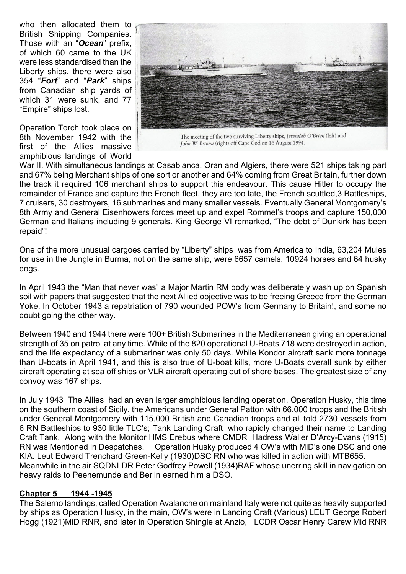who then allocated them to British Shipping Companies. Those with an "*Ocean*" prefix, of which 60 came to the UK were less standardised than the Liberty ships, there were also 354 "*Fort*" and "*Park*" ships from Canadian ship yards of which 31 were sunk, and 77 "Empire" ships lost.

Operation Torch took place on 8th November 1942 with the first of the Allies massive amphibious landings of World



The meeting of the two surviving Liberty ships, Jeremiah O'Brien (left) and John W. Brown (right) off Cape Cod on 16 August 1994.

War II. With simultaneous landings at Casablanca, Oran and Algiers, there were 521 ships taking part and 67% being Merchant ships of one sort or another and 64% coming from Great Britain, further down the track it required 106 merchant ships to support this endeavour. This cause Hitler to occupy the remainder of France and capture the French fleet, they are too late, the French scuttled,3 Battleships, 7 cruisers, 30 destroyers, 16 submarines and many smaller vessels. Eventually General Montgomery's 8th Army and General Eisenhowers forces meet up and expel Rommel's troops and capture 150,000 German and Italians including 9 generals. King George VI remarked, "The debt of Dunkirk has been repaid"!

One of the more unusual cargoes carried by "Liberty" ships was from America to India, 63,204 Mules for use in the Jungle in Burma, not on the same ship, were 6657 camels, 10924 horses and 64 husky dogs.

In April 1943 the "Man that never was" a Major Martin RM body was deliberately wash up on Spanish soil with papers that suggested that the next Allied objective was to be freeing Greece from the German Yoke. In October 1943 a repatriation of 790 wounded POW's from Germany to Britain!, and some no doubt going the other way.

Between 1940 and 1944 there were 100+ British Submarines in the Mediterranean giving an operational strength of 35 on patrol at any time. While of the 820 operational U-Boats 718 were destroyed in action, and the life expectancy of a submariner was only 50 days. While Kondor aircraft sank more tonnage than U-boats in April 1941, and this is also true of U-boat kills, more U-Boats overall sunk by either aircraft operating at sea off ships or VLR aircraft operating out of shore bases. The greatest size of any convoy was 167 ships.

In July 1943 The Allies had an even larger amphibious landing operation, Operation Husky, this time on the southern coast of Sicily, the Americans under General Patton with 66,000 troops and the British under General Montgomery with 115,000 British and Canadian troops and all told 2730 vessels from 6 RN Battleships to 930 little TLC's; Tank Landing Craft who rapidly changed their name to Landing Craft Tank. Along with the Monitor HMS Erebus where CMDR Hadress Waller D'Arcy-Evans (1915) RN was Mentioned in Despatches. Operation Husky produced 4 OW's with MiD's one DSC and one KIA. Leut Edward Trenchard Green-Kelly (1930)DSC RN who was killed in action with MTB655. Meanwhile in the air SQDNLDR Peter Godfrey Powell (1934)RAF whose unerring skill in navigation on heavy raids to Peenemunde and Berlin earned him a DSO.

#### **Chapter 5 1944 -1945**

The Salerno landings, called Operation Avalanche on mainland Italy were not quite as heavily supported by ships as Operation Husky, in the main, OW's were in Landing Craft (Various) LEUT George Robert Hogg (1921)MiD RNR, and later in Operation Shingle at Anzio, LCDR Oscar Henry Carew Mid RNR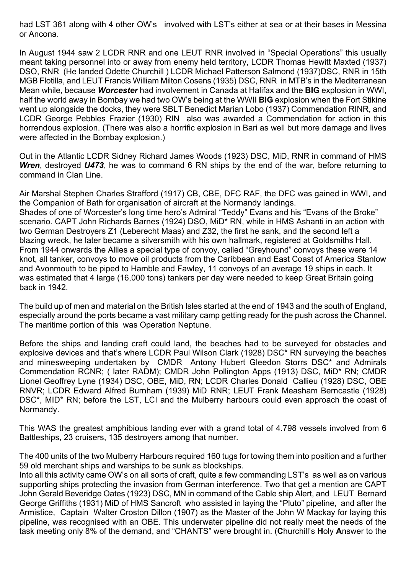had LST 361 along with 4 other OW's involved with LST's either at sea or at their bases in Messina or Ancona.

In August 1944 saw 2 LCDR RNR and one LEUT RNR involved in "Special Operations" this usually meant taking personnel into or away from enemy held territory, LCDR Thomas Hewitt Maxted (1937) DSO, RNR (He landed Odette Churchill ) LCDR Michael Patterson Salmond (1937)DSC, RNR in 15th MGB Flotilla, and LEUT Francis William Milton Cosens (1935) DSC, RNR in MTB's in the Mediterranean Mean while, because *Worcester* had involvement in Canada at Halifax and the **BIG** explosion in WWI, half the world away in Bombay we had two OW's being at the WWII **BIG** explosion when the Fort Stikine went up alongside the docks, they were SBLT Benedict Marian Lobo (1937) Commendation RINR, and LCDR George Pebbles Frazier (1930) RIN also was awarded a Commendation for action in this horrendous explosion. (There was also a horrific explosion in Bari as well but more damage and lives were affected in the Bombay explosion.)

Out in the Atlantic LCDR Sidney Richard James Woods (1923) DSC, MiD, RNR in command of HMS *Wren*, destroyed *U473*, he was to command 6 RN ships by the end of the war, before returning to command in Clan Line.

Air Marshal Stephen Charles Strafford (1917) CB, CBE, DFC RAF, the DFC was gained in WWI, and the Companion of Bath for organisation of aircraft at the Normandy landings. Shades of one of Worcester's long time hero's Admiral "Teddy" Evans and his "Evans of the Broke" scenario. CAPT John Richards Barnes (1924) DSO, MiD\* RN, while in HMS Ashanti in an action with two German Destroyers Z1 (Leberecht Maas) and Z32, the first he sank, and the second left a blazing wreck, he later became a silversmith with his own hallmark, registered at Goldsmiths Hall. From 1944 onwards the Allies a special type of convoy, called "Greyhound" convoys these were 14 knot, all tanker, convoys to move oil products from the Caribbean and East Coast of America Stanlow and Avonmouth to be piped to Hamble and Fawley, 11 convoys of an average 19 ships in each. It was estimated that 4 large (16,000 tons) tankers per day were needed to keep Great Britain going back in 1942.

The build up of men and material on the British Isles started at the end of 1943 and the south of England, especially around the ports became a vast military camp getting ready for the push across the Channel. The maritime portion of this was Operation Neptune.

Before the ships and landing craft could land, the beaches had to be surveyed for obstacles and explosive devices and that's where LCDR Paul Wilson Clark (1928) DSC\* RN surveying the beaches and minesweeping undertaken by CMDR Antony Hubert Gleedon Storrs DSC\* and Admirals Commendation RCNR; ( later RADM); CMDR John Pollington Apps (1913) DSC, MiD\* RN; CMDR Lionel Geoffrey Lyne (1934) DSC, OBE, MiD, RN; LCDR Charles Donald Callieu (1928) DSC, OBE RNVR; LCDR Edward Alfred Burnham (1939) MiD RNR; LEUT Frank Measham Berncastle (1928) DSC\*, MID\* RN; before the LST, LCI and the Mulberry harbours could even approach the coast of Normandy.

This WAS the greatest amphibious landing ever with a grand total of 4.798 vessels involved from 6 Battleships, 23 cruisers, 135 destroyers among that number.

The 400 units of the two Mulberry Harbours required 160 tugs for towing them into position and a further 59 old merchant ships and warships to be sunk as blockships.

Into all this activity came OW's on all sorts of craft, quite a few commanding LST's as well as on various supporting ships protecting the invasion from German interference. Two that get a mention are CAPT John Gerald Beveridge Oates (1923) DSC, MN in command of the Cable ship Alert, and LEUT Bernard George Griffiths (1931) MiD of HMS Sancroft who assisted in laying the "Pluto" pipeline, and after the Armistice, Captain Walter Croston Dillon (1907) as the Master of the John W Mackay for laying this pipeline, was recognised with an OBE. This underwater pipeline did not really meet the needs of the task meeting only 8% of the demand, and "CHANTS" were brought in. (**C**hurchill's **H**oly **A**nswer to the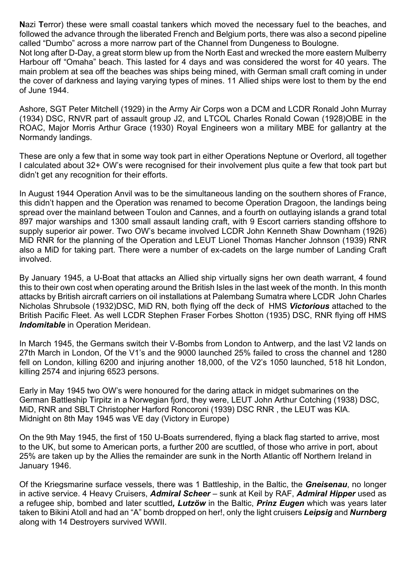**N**azi **T**error) these were small coastal tankers which moved the necessary fuel to the beaches, and followed the advance through the liberated French and Belgium ports, there was also a second pipeline called "Dumbo" across a more narrow part of the Channel from Dungeness to Boulogne.

Not long after D-Day, a great storm blew up from the North East and wrecked the more eastern Mulberry Harbour off "Omaha" beach. This lasted for 4 days and was considered the worst for 40 years. The main problem at sea off the beaches was ships being mined, with German small craft coming in under the cover of darkness and laying varying types of mines. 11 Allied ships were lost to them by the end of June 1944.

Ashore, SGT Peter Mitchell (1929) in the Army Air Corps won a DCM and LCDR Ronald John Murray (1934) DSC, RNVR part of assault group J2, and LTCOL Charles Ronald Cowan (1928)OBE in the ROAC, Major Morris Arthur Grace (1930) Royal Engineers won a military MBE for gallantry at the Normandy landings.

These are only a few that in some way took part in either Operations Neptune or Overlord, all together I calculated about 32+ OW's were recognised for their involvement plus quite a few that took part but didn't get any recognition for their efforts.

In August 1944 Operation Anvil was to be the simultaneous landing on the southern shores of France, this didn't happen and the Operation was renamed to become Operation Dragoon, the landings being spread over the mainland between Toulon and Cannes, and a fourth on outlaying islands a grand total 897 major warships and 1300 small assault landing craft, with 9 Escort carriers standing offshore to supply superior air power. Two OW's became involved LCDR John Kenneth Shaw Downham (1926) MiD RNR for the planning of the Operation and LEUT Lionel Thomas Hancher Johnson (1939) RNR also a MiD for taking part. There were a number of ex-cadets on the large number of Landing Craft involved.

By January 1945, a U-Boat that attacks an Allied ship virtually signs her own death warrant, 4 found this to their own cost when operating around the British Isles in the last week of the month. In this month attacks by British aircraft carriers on oil installations at Palembang Sumatra where LCDR John Charles Nicholas Shrubsole (1932)DSC, MiD RN, both flying off the deck of HMS *Victorious* attached to the British Pacific Fleet. As well LCDR Stephen Fraser Forbes Shotton (1935) DSC, RNR flying off HMS *Indomitable* in Operation Meridean.

In March 1945, the Germans switch their V-Bombs from London to Antwerp, and the last V2 lands on 27th March in London, Of the V1's and the 9000 launched 25% failed to cross the channel and 1280 fell on London, killing 6200 and injuring another 18,000, of the V2's 1050 launched, 518 hit London, killing 2574 and injuring 6523 persons.

Early in May 1945 two OW's were honoured for the daring attack in midget submarines on the German Battleship Tirpitz in a Norwegian fjord, they were, LEUT John Arthur Cotching (1938) DSC, MiD, RNR and SBLT Christopher Harford Roncoroni (1939) DSC RNR , the LEUT was KIA. Midnight on 8th May 1945 was VE day (Victory in Europe)

On the 9th May 1945, the first of 150 U-Boats surrendered, flying a black flag started to arrive, most to the UK, but some to American ports, a further 200 are scuttled, of those who arrive in port, about 25% are taken up by the Allies the remainder are sunk in the North Atlantic off Northern Ireland in January 1946.

Of the Kriegsmarine surface vessels, there was 1 Battleship, in the Baltic, the *Gneisenau*, no longer in active service. 4 Heavy Cruisers, *Admiral Scheer* – sunk at Keil by RAF, *Admiral Hipper* used as a refugee ship, bombed and later scuttled*, Lutzӧw* in the Baltic, *Prinz Eugen* which was years later taken to Bikini Atoll and had an "A" bomb dropped on her!, only the light cruisers *Leipsig* and *Nurnberg* along with 14 Destroyers survived WWII.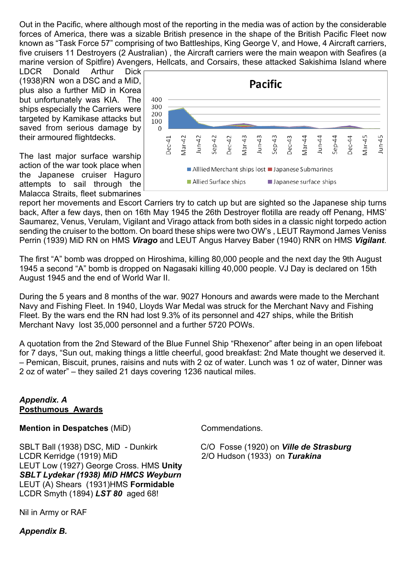Out in the Pacific, where although most of the reporting in the media was of action by the considerable forces of America, there was a sizable British presence in the shape of the British Pacific Fleet now known as "Task Force 57" comprising of two Battleships, King George V, and Howe, 4 Aircraft carriers, five cruisers 11 Destroyers (2 Australian) , the Aircraft carriers were the main weapon with Seafires (a marine version of Spitfire) Avengers, Hellcats, and Corsairs, these attacked Sakishima Island where

LDCR Donald Arthur Dick (1938)RN won a DSC and a MiD, plus also a further MiD in Korea but unfortunately was KIA. The ships especially the Carriers were targeted by Kamikase attacks but saved from serious damage by their armoured flightdecks.

The last major surface warship action of the war took place when the Japanese cruiser Haguro attempts to sail through the Malacca Straits, fleet submarines



report her movements and Escort Carriers try to catch up but are sighted so the Japanese ship turns back, After a few days, then on 16th May 1945 the 26th Destroyer flotilla are ready off Penang, HMS' Saumarez, Venus, Verulam, Vigilant and Virago attack from both sides in a classic night torpedo action sending the cruiser to the bottom. On board these ships were two OW's , LEUT Raymond James Veniss Perrin (1939) MiD RN on HMS *Virago* and LEUT Angus Harvey Baber (1940) RNR on HMS *Vigilant*.

The first "A" bomb was dropped on Hiroshima, killing 80,000 people and the next day the 9th August 1945 a second "A" bomb is dropped on Nagasaki killing 40,000 people. VJ Day is declared on 15th August 1945 and the end of World War II.

During the 5 years and 8 months of the war. 9027 Honours and awards were made to the Merchant Navy and Fishing Fleet. In 1940, Lloyds War Medal was struck for the Merchant Navy and Fishing Fleet. By the wars end the RN had lost 9.3% of its personnel and 427 ships, while the British Merchant Navy lost 35,000 personnel and a further 5720 POWs.

A quotation from the 2nd Steward of the Blue Funnel Ship "Rhexenor" after being in an open lifeboat for 7 days, "Sun out, making things a little cheerful, good breakfast: 2nd Mate thought we deserved it. – Pemican, Biscuit, prunes, raisins and nuts with 2 oz of water. Lunch was 1 oz of water, Dinner was 2 oz of water" – they sailed 21 days covering 1236 nautical miles.

## *Appendix. A* **Posthumous Awards**

**Mention in Despatches** (MiD) Commendations.

SBLT Ball (1938) DSC, MiD - Dunkirk C/O Fosse (1920) on *Ville de Strasburg* LCDR Kerridge (1919) MiD 2/O Hudson (1933) on *Turakina* LEUT Low (1927) George Cross. HMS **Unity** *SBLT Lydekar (1938) MiD HMCS Weyburn* LEUT (A) Shears (1931)HMS **Formidable** LCDR Smyth (1894) *LST 80* aged 68!

Nil in Army or RAF

*Appendix B.*